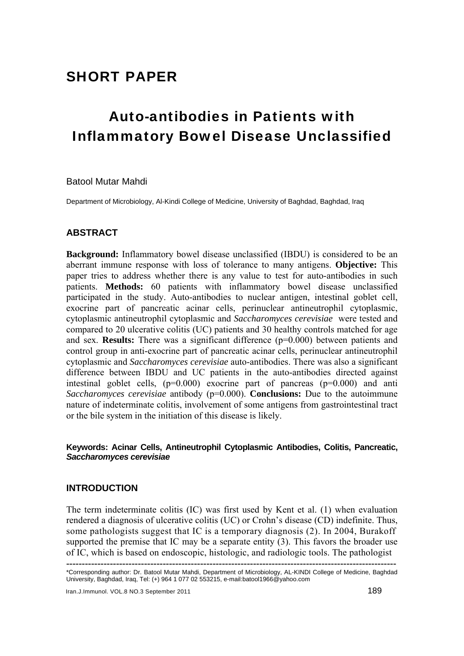# SHORT PAPER

# Auto-antibodies in Patients with Inflammatory Bowel Disease Unclassified

Batool Mutar Mahdi

Department of Microbiology, Al-Kindi College of Medicine, University of Baghdad, Baghdad, Iraq

## **ABSTRACT**

**Background:** Inflammatory bowel disease unclassified (IBDU) is considered to be an aberrant immune response with loss of tolerance to many antigens. **Objective:** This paper tries to address whether there is any value to test for auto-antibodies in such patients. **Methods:** 60 patients with inflammatory bowel disease unclassified participated in the study. Auto-antibodies to nuclear antigen, intestinal goblet cell, exocrine part of pancreatic acinar cells, perinuclear antineutrophil cytoplasmic, cytoplasmic antineutrophil cytoplasmic and *Saccharomyces cerevisiae* were tested and compared to 20 ulcerative colitis (UC) patients and 30 healthy controls matched for age and sex. **Results:** There was a significant difference (p=0.000) between patients and control group in anti-exocrine part of pancreatic acinar cells, perinuclear antineutrophil cytoplasmic and *Saccharomyces cerevisiae* auto-antibodies. There was also a significant difference between IBDU and UC patients in the auto-antibodies directed against intestinal goblet cells,  $(p=0.000)$  exocrine part of pancreas  $(p=0.000)$  and anti *Saccharomyces cerevisiae* antibody (p=0.000). **Conclusions:** Due to the autoimmune nature of indeterminate colitis, involvement of some antigens from gastrointestinal tract or the bile system in the initiation of this disease is likely.

## **Keywords: Acinar Cells, Antineutrophil Cytoplasmic Antibodies, Colitis, Pancreatic,**  *Saccharomyces cerevisiae*

## **INTRODUCTION**

The term indeterminate colitis (IC) was first used by Kent et al. (1) when evaluation rendered a diagnosis of ulcerative colitis (UC) or Crohn's disease (CD) indefinite. Thus, some pathologists suggest that IC is a temporary diagnosis (2). In 2004, Burakoff supported the premise that IC may be a separate entity (3). This favors the broader use of IC, which is based on endoscopic, histologic, and radiologic tools. The pathologist

**<sup>----------------------------------------------------------------------------------------------------------</sup>** \*Corresponding author: Dr. Batool Mutar Mahdi, Department of Microbiology, AL-KINDI College of Medicine, Baghdad University, Baghdad, Iraq, Tel: (+) 964 1 077 02 553215, e-mail:batool1966@yahoo.com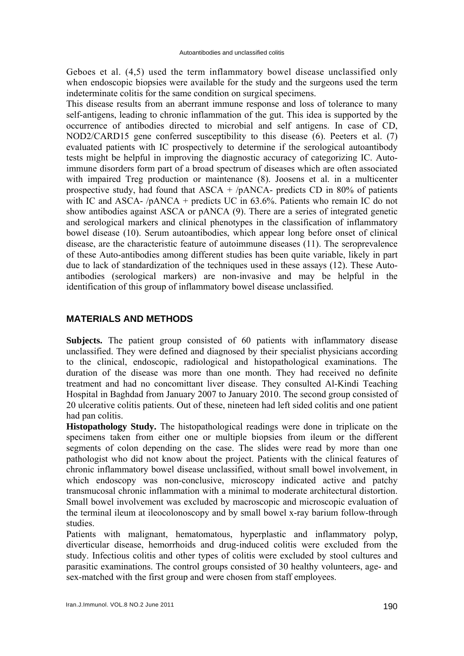Geboes et al. (4,5) used the term inflammatory bowel disease unclassified only when endoscopic biopsies were available for the study and the surgeons used the term indeterminate colitis for the same condition on surgical specimens.

This disease results from an aberrant immune response and loss of tolerance to many self-antigens, leading to chronic inflammation of the gut. This idea is supported by the occurrence of antibodies directed to microbial and self antigens. In case of CD, NOD2/CARD15 gene conferred susceptibility to this disease (6). Peeters et al. (7) evaluated patients with IC prospectively to determine if the serological autoantibody tests might be helpful in improving the diagnostic accuracy of categorizing IC. Autoimmune disorders form part of a broad spectrum of diseases which are often associated with impaired Treg production or maintenance  $(8)$ . Joosens et al. in a multicenter prospective study, had found that  $ASCA + /pANCA$ - predicts CD in 80% of patients with IC and ASCA-  $/p$ ANCA + predicts UC in 63.6%. Patients who remain IC do not show antibodies against ASCA or pANCA (9). There are a series of integrated genetic and serological markers and clinical phenotypes in the classification of inflammatory bowel disease (10). Serum autoantibodies, which appear long before onset of clinical disease, are the characteristic feature of autoimmune diseases (11). The seroprevalence of these Auto-antibodies among different studies has been quite variable, likely in part due to lack of standardization of the techniques used in these assays (12). These Autoantibodies (serological markers) are non-invasive and may be helpful in the identification of this group of inflammatory bowel disease unclassified.

# **MATERIALS AND METHODS**

**Subjects.** The patient group consisted of 60 patients with inflammatory disease unclassified. They were defined and diagnosed by their specialist physicians according to the clinical, endoscopic, radiological and histopathological examinations. The duration of the disease was more than one month. They had received no definite treatment and had no concomittant liver disease. They consulted Al-Kindi Teaching Hospital in Baghdad from January 2007 to January 2010. The second group consisted of 20 ulcerative colitis patients. Out of these, nineteen had left sided colitis and one patient had pan colitis.

**Histopathology Study.** The histopathological readings were done in triplicate on the specimens taken from either one or multiple biopsies from ileum or the different segments of colon depending on the case. The slides were read by more than one pathologist who did not know about the project. Patients with the clinical features of chronic inflammatory bowel disease unclassified, without small bowel involvement, in which endoscopy was non-conclusive, microscopy indicated active and patchy transmucosal chronic inflammation with a minimal to moderate architectural distortion. Small bowel involvement was excluded by macroscopic and microscopic evaluation of the terminal ileum at ileocolonoscopy and by small bowel x-ray barium follow-through studies.

Patients with malignant, hematomatous, hyperplastic and inflammatory polyp, diverticular disease, hemorrhoids and drug-induced colitis were excluded from the study. Infectious colitis and other types of colitis were excluded by stool cultures and parasitic examinations. The control groups consisted of 30 healthy volunteers, age- and sex-matched with the first group and were chosen from staff employees.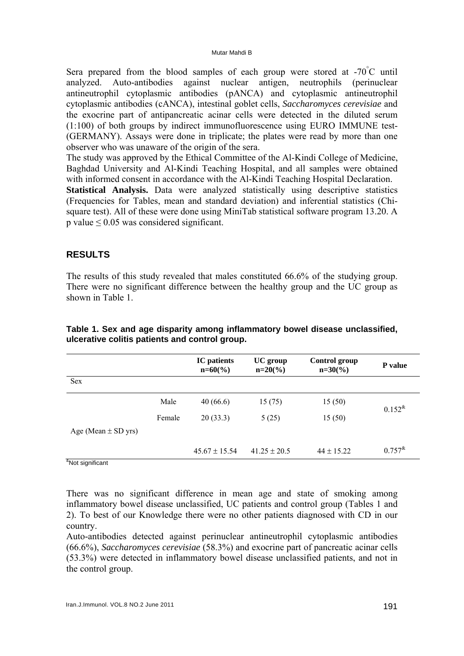#### Mutar Mahdi B

Sera prepared from the blood samples of each group were stored at  $-70^{\circ}$ C until analyzed. Auto-antibodies against nuclear antigen, neutrophils (perinuclear antineutrophil cytoplasmic antibodies (pANCA) and cytoplasmic antineutrophil cytoplasmic antibodies (cANCA), intestinal goblet cells, *Saccharomyces cerevisiae* and the exocrine part of antipancreatic acinar cells were detected in the diluted serum (1:100) of both groups by indirect immunofluorescence using EURO IMMUNE test- (GERMANY). Assays were done in triplicate; the plates were read by more than one observer who was unaware of the origin of the sera.

The study was approved by the Ethical Committee of the Al-Kindi College of Medicine, Baghdad University and Al-Kindi Teaching Hospital, and all samples were obtained with informed consent in accordance with the Al-Kindi Teaching Hospital Declaration.

**Statistical Analysis.** Data were analyzed statistically using descriptive statistics (Frequencies for Tables, mean and standard deviation) and inferential statistics (Chisquare test). All of these were done using MiniTab statistical software program 13.20. A p value ≤ 0.05 was considered significant.

# **RESULTS**

The results of this study revealed that males constituted 66.6% of the studying group. There were no significant difference between the healthy group and the UC group as shown in Table 1.

|                         |        | <b>IC</b> patients<br>$n=60\,(%)$ | UC group<br>$n=20\frac{6}{6}$ | <b>Control group</b><br>$n=30\,(%)$ | <b>P</b> value |
|-------------------------|--------|-----------------------------------|-------------------------------|-------------------------------------|----------------|
| Sex                     |        |                                   |                               |                                     |                |
|                         | Male   | 40(66.6)                          | 15(75)                        | 15(50)                              | $0.152^{k}$    |
|                         | Female | 20(33.3)                          | 5(25)                         | 15(50)                              |                |
| Age (Mean $\pm$ SD yrs) |        |                                   |                               |                                     |                |
| $\alpha$                |        | $45.67 \pm 15.54$                 | $41.25 \pm 20.5$              | $44 \pm 15.22$                      | $0.757^{\&}$   |

**Table 1. Sex and age disparity among inflammatory bowel disease unclassified, ulcerative colitis patients and control group.**

& Not significant

There was no significant difference in mean age and state of smoking among inflammatory bowel disease unclassified, UC patients and control group (Tables 1 and 2). To best of our Knowledge there were no other patients diagnosed with CD in our country.

Auto-antibodies detected against perinuclear antineutrophil cytoplasmic antibodies (66.6%), *Saccharomyces cerevisiae* (58.3%) and exocrine part of pancreatic acinar cells (53.3%) were detected in inflammatory bowel disease unclassified patients, and not in the control group.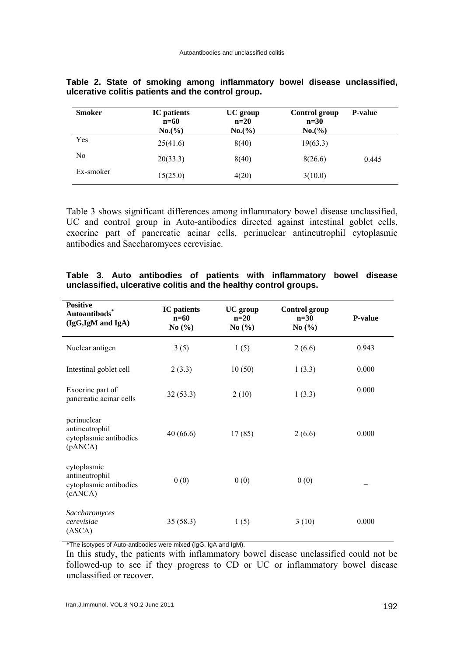| <b>Smoker</b>  | <b>IC</b> patients<br>$n=60$<br>$No.(\% )$ | UC group<br>$n=20$<br>$No.(\% )$ | Control group<br>$n=30$<br>No. (%) | <b>P-value</b> |
|----------------|--------------------------------------------|----------------------------------|------------------------------------|----------------|
| Yes            | 25(41.6)                                   | 8(40)                            | 19(63.3)                           |                |
| N <sub>0</sub> | 20(33.3)                                   | 8(40)                            | 8(26.6)                            | 0.445          |
| Ex-smoker      | 15(25.0)                                   | 4(20)                            | 3(10.0)                            |                |

|  |  |  | Table 2. State of smoking among inflammatory bowel disease unclassified, |  |  |
|--|--|--|--------------------------------------------------------------------------|--|--|
|  |  |  | ulcerative colitis patients and the control group.                       |  |  |

Table 3 shows significant differences among inflammatory bowel disease unclassified, UC and control group in Auto-antibodies directed against intestinal goblet cells, exocrine part of pancreatic acinar cells, perinuclear antineutrophil cytoplasmic antibodies and Saccharomyces cerevisiae.

| <b>Positive</b><br>Autoantibods <sup>*</sup><br>(IgG,IgM and IgA)  | <b>IC</b> patients<br>$n=60$<br>No $\left(\frac{0}{0}\right)$ | <b>UC</b> group<br>$n=20$<br>No $(\% )$ | <b>Control group</b><br>$n=30$<br>No $(\% )$ | <b>P-value</b> |
|--------------------------------------------------------------------|---------------------------------------------------------------|-----------------------------------------|----------------------------------------------|----------------|
| Nuclear antigen                                                    | 3(5)                                                          | 1(5)                                    | 2(6.6)                                       | 0.943          |
| Intestinal goblet cell                                             | 2(3.3)                                                        | 10(50)                                  | 1(3.3)                                       | 0.000          |
| Exocrine part of<br>pancreatic acinar cells                        | 32(53.3)                                                      | 2(10)                                   | 1(3.3)                                       | 0.000          |
| perinuclear<br>antineutrophil<br>cytoplasmic antibodies<br>(pANCA) | 40(66.6)                                                      | 17(85)                                  | 2(6.6)                                       | 0.000          |
| cytoplasmic<br>antineutrophil<br>cytoplasmic antibodies<br>(cANCA) | 0(0)                                                          | 0(0)                                    | 0(0)                                         |                |
| Saccharomyces<br>cerevisiae<br>(ASCA)                              | 35(58.3)                                                      | 1(5)                                    | 3(10)                                        | 0.000          |

|                                                                  |  |  |  |  |  |  | Table 3. Auto antibodies of patients with inflammatory bowel disease |  |  |
|------------------------------------------------------------------|--|--|--|--|--|--|----------------------------------------------------------------------|--|--|
| unclassified, ulcerative colitis and the healthy control groups. |  |  |  |  |  |  |                                                                      |  |  |

\*The isotypes of Auto-antibodies were mixed (IgG, IgA and IgM).

In this study, the patients with inflammatory bowel disease unclassified could not be followed-up to see if they progress to CD or UC or inflammatory bowel disease unclassified or recover.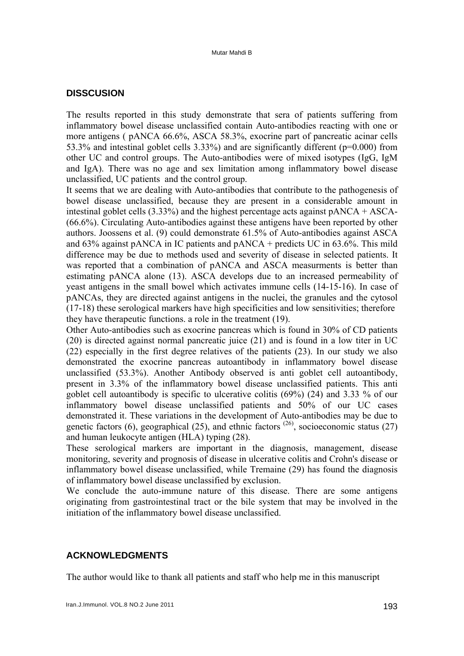## **DISSCUSION**

The results reported in this study demonstrate that sera of patients suffering from inflammatory bowel disease unclassified contain Auto-antibodies reacting with one or more antigens ( pANCA 66.6%, ASCA 58.3%, exocrine part of pancreatic acinar cells 53.3% and intestinal goblet cells 3.33%) and are significantly different (p=0.000) from other UC and control groups. The Auto-antibodies were of mixed isotypes (IgG, IgM and IgA). There was no age and sex limitation among inflammatory bowel disease unclassified, UC patients and the control group.

It seems that we are dealing with Auto-antibodies that contribute to the pathogenesis of bowel disease unclassified, because they are present in a considerable amount in intestinal goblet cells  $(3.33\%)$  and the highest percentage acts against  $pANCA + ASCA$ -(66.6%). Circulating Auto-antibodies against these antigens have been reported by other authors. Joossens et al. (9) could demonstrate 61.5% of Auto-antibodies against ASCA and  $63\%$  against pANCA in IC patients and pANCA + predicts UC in  $63.6\%$ . This mild difference may be due to methods used and severity of disease in selected patients. It was reported that a combination of pANCA and ASCA measurments is better than estimating pANCA alone (13). ASCA develops due to an increased permeability of yeast antigens in the small bowel which activates immune cells (14-15-16). In case of pANCAs, they are directed against antigens in the nuclei, the granules and the cytosol (17-18) these serological markers have high specificities and low sensitivities; therefore they have therapeutic functions. a role in the treatment (19).

Other Auto-antibodies such as exocrine pancreas which is found in 30% of CD patients (20) is directed against normal pancreatic juice (21) and is found in a low titer in UC (22) especially in the first degree relatives of the patients (23). In our study we also demonstrated the exocrine pancreas autoantibody in inflammatory bowel disease unclassified (53.3%). Another Antibody observed is anti goblet cell autoantibody, present in 3.3% of the inflammatory bowel disease unclassified patients. This anti goblet cell autoantibody is specific to ulcerative colitis (69%) (24) and 3.33 % of our inflammatory bowel disease unclassified patients and 50% of our UC cases demonstrated it. These variations in the development of Auto-antibodies may be due to genetic factors (6), geographical (25), and ethnic factors  $(26)$ , socioeconomic status (27) and human leukocyte antigen (HLA) typing (28).

These serological markers are important in the diagnosis, management, disease monitoring, severity and prognosis of disease in ulcerative colitis and Crohn's disease or inflammatory bowel disease unclassified, while Tremaine (29) has found the diagnosis of inflammatory bowel disease unclassified by exclusion.

We conclude the auto-immune nature of this disease. There are some antigens originating from gastrointestinal tract or the bile system that may be involved in the initiation of the inflammatory bowel disease unclassified.

## **ACKNOWLEDGMENTS**

The author would like to thank all patients and staff who help me in this manuscript